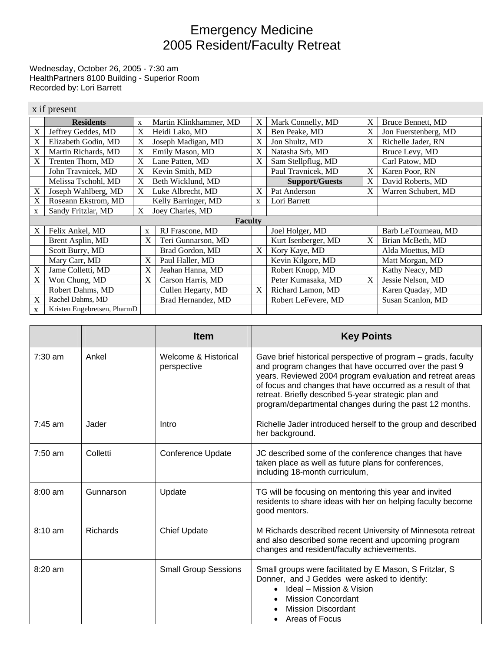## Emergency Medicine 2005 Resident/Faculty Retreat

Wednesday, October 26, 2005 - 7:30 am HealthPartners 8100 Building - Superior Room Recorded by: Lori Barrett

|                | x if present                |             |                        |   |                       |   |                      |
|----------------|-----------------------------|-------------|------------------------|---|-----------------------|---|----------------------|
|                | <b>Residents</b>            | X           | Martin Klinkhammer, MD | X | Mark Connelly, MD     | X | Bruce Bennett, MD    |
| X              | Jeffrey Geddes, MD          | X           | Heidi Lako, MD         | X | Ben Peake, MD         | X | Jon Fuerstenberg, MD |
| X              | Elizabeth Godin, MD         | X           | Joseph Madigan, MD     | X | Jon Shultz, MD        | X | Richelle Jader, RN   |
| X              | Martin Richards, MD         | X           | Emily Mason, MD        | X | Natasha Srb, MD       |   | Bruce Levy, MD       |
| X              | Trenten Thorn, MD           | X           | Lane Patten, MD        | X | Sam Stellpflug, MD    |   | Carl Patow, MD       |
|                | John Travnicek, MD          | X           | Kevin Smith, MD        |   | Paul Travnicek, MD    | X | Karen Poor, RN       |
|                | Melissa Tschohl, MD         | X           | Beth Wicklund, MD      |   | <b>Support/Guests</b> | X | David Roberts, MD    |
| X              | Joseph Wahlberg, MD         | $\mathbf X$ | Luke Albrecht, MD      | X | Pat Anderson          | X | Warren Schubert, MD  |
| X              | Roseann Ekstrom, MD         |             | Kelly Barringer, MD    | X | Lori Barrett          |   |                      |
| X              | Sandy Fritzlar, MD          | $\mathbf X$ | Joey Charles, MD       |   |                       |   |                      |
| <b>Faculty</b> |                             |             |                        |   |                       |   |                      |
| X              | Felix Ankel, MD             | X           | RJ Frascone, MD        |   | Joel Holger, MD       |   | Barb LeTourneau, MD  |
|                | Brent Asplin, MD            | X           | Teri Gunnarson, MD     |   | Kurt Isenberger, MD   | X | Brian McBeth, MD     |
|                | Scott Burry, MD             |             | Brad Gordon, MD        | X | Kory Kaye, MD         |   | Alda Moettus, MD     |
|                | Mary Carr, MD               | X           | Paul Haller, MD        |   | Kevin Kilgore, MD     |   | Matt Morgan, MD      |
| X              | Jame Colletti, MD           | X           | Jeahan Hanna, MD       |   | Robert Knopp, MD      |   | Kathy Neacy, MD      |
| X              | Won Chung, MD               | X           | Carson Harris, MD      |   | Peter Kumasaka, MD    | X | Jessie Nelson, MD    |
|                | Robert Dahms, MD            |             | Cullen Hegarty, MD     | X | Richard Lamon, MD     |   | Karen Quaday, MD     |
| X              | Rachel Dahms, MD            |             | Brad Hernandez, MD     |   | Robert LeFevere, MD   |   | Susan Scanlon, MD    |
| X              | Kristen Engebretsen, PharmD |             |                        |   |                       |   |                      |

|           |                 | <b>Item</b>                         | <b>Key Points</b>                                                                                                                                                                                                                                                                                                                                                      |
|-----------|-----------------|-------------------------------------|------------------------------------------------------------------------------------------------------------------------------------------------------------------------------------------------------------------------------------------------------------------------------------------------------------------------------------------------------------------------|
| 7:30 am   | Ankel           | Welcome & Historical<br>perspective | Gave brief historical perspective of program – grads, faculty<br>and program changes that have occurred over the past 9<br>years. Reviewed 2004 program evaluation and retreat areas<br>of focus and changes that have occurred as a result of that<br>retreat. Briefly described 5-year strategic plan and<br>program/departmental changes during the past 12 months. |
| $7:45$ am | Jader           | Intro                               | Richelle Jader introduced herself to the group and described<br>her background.                                                                                                                                                                                                                                                                                        |
| $7:50$ am | Colletti        | <b>Conference Update</b>            | JC described some of the conference changes that have<br>taken place as well as future plans for conferences,<br>including 18-month curriculum,                                                                                                                                                                                                                        |
| $8:00$ am | Gunnarson       | Update                              | TG will be focusing on mentoring this year and invited<br>residents to share ideas with her on helping faculty become<br>good mentors.                                                                                                                                                                                                                                 |
| $8:10$ am | <b>Richards</b> | <b>Chief Update</b>                 | M Richards described recent University of Minnesota retreat<br>and also described some recent and upcoming program<br>changes and resident/faculty achievements.                                                                                                                                                                                                       |
| $8:20$ am |                 | <b>Small Group Sessions</b>         | Small groups were facilitated by E Mason, S Fritzlar, S<br>Donner, and J Geddes were asked to identify:<br>Ideal - Mission & Vision<br><b>Mission Concordant</b><br><b>Mission Discordant</b><br>Areas of Focus                                                                                                                                                        |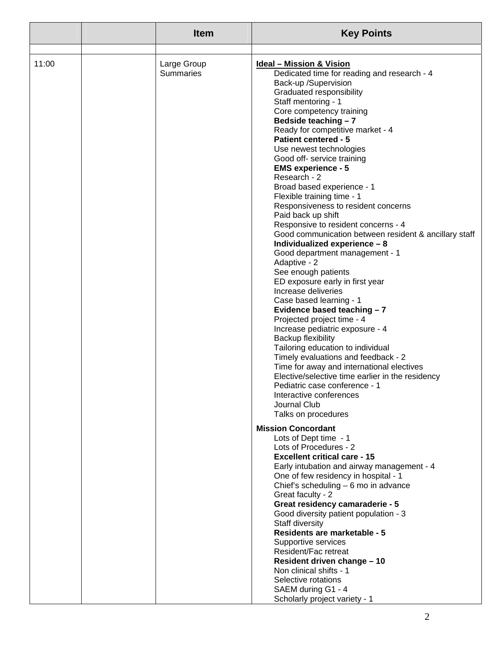|       | <b>Item</b>                     | <b>Key Points</b>                                                                                                                                                                                                                                                                                                                                                                                                                                                                                                                                                                                                                                                                                                                                                                                                                                                                                                                                                                                                                                                                                                                                                                                        |
|-------|---------------------------------|----------------------------------------------------------------------------------------------------------------------------------------------------------------------------------------------------------------------------------------------------------------------------------------------------------------------------------------------------------------------------------------------------------------------------------------------------------------------------------------------------------------------------------------------------------------------------------------------------------------------------------------------------------------------------------------------------------------------------------------------------------------------------------------------------------------------------------------------------------------------------------------------------------------------------------------------------------------------------------------------------------------------------------------------------------------------------------------------------------------------------------------------------------------------------------------------------------|
|       |                                 |                                                                                                                                                                                                                                                                                                                                                                                                                                                                                                                                                                                                                                                                                                                                                                                                                                                                                                                                                                                                                                                                                                                                                                                                          |
| 11:00 | Large Group<br><b>Summaries</b> | <b>Ideal - Mission &amp; Vision</b><br>Dedicated time for reading and research - 4<br>Back-up /Supervision<br>Graduated responsibility<br>Staff mentoring - 1<br>Core competency training<br>Bedside teaching - 7<br>Ready for competitive market - 4<br><b>Patient centered - 5</b><br>Use newest technologies<br>Good off- service training<br><b>EMS experience - 5</b><br>Research - 2<br>Broad based experience - 1<br>Flexible training time - 1<br>Responsiveness to resident concerns<br>Paid back up shift<br>Responsive to resident concerns - 4<br>Good communication between resident & ancillary staff<br>Individualized experience - 8<br>Good department management - 1<br>Adaptive - 2<br>See enough patients<br>ED exposure early in first year<br>Increase deliveries<br>Case based learning - 1<br>Evidence based teaching - 7<br>Projected project time - 4<br>Increase pediatric exposure - 4<br><b>Backup flexibility</b><br>Tailoring education to individual<br>Timely evaluations and feedback - 2<br>Time for away and international electives<br>Elective/selective time earlier in the residency<br>Pediatric case conference - 1<br>Interactive conferences<br>Journal Club |
|       |                                 | Talks on procedures<br><b>Mission Concordant</b>                                                                                                                                                                                                                                                                                                                                                                                                                                                                                                                                                                                                                                                                                                                                                                                                                                                                                                                                                                                                                                                                                                                                                         |
|       |                                 | Lots of Dept time - 1<br>Lots of Procedures - 2<br><b>Excellent critical care - 15</b><br>Early intubation and airway management - 4<br>One of few residency in hospital - 1<br>Chief's scheduling - 6 mo in advance<br>Great faculty - 2                                                                                                                                                                                                                                                                                                                                                                                                                                                                                                                                                                                                                                                                                                                                                                                                                                                                                                                                                                |
|       |                                 | Great residency camaraderie - 5<br>Good diversity patient population - 3<br>Staff diversity<br><b>Residents are marketable - 5</b><br>Supportive services<br>Resident/Fac retreat<br>Resident driven change - 10<br>Non clinical shifts - 1                                                                                                                                                                                                                                                                                                                                                                                                                                                                                                                                                                                                                                                                                                                                                                                                                                                                                                                                                              |
|       |                                 | Selective rotations<br>SAEM during G1 - 4<br>Scholarly project variety - 1                                                                                                                                                                                                                                                                                                                                                                                                                                                                                                                                                                                                                                                                                                                                                                                                                                                                                                                                                                                                                                                                                                                               |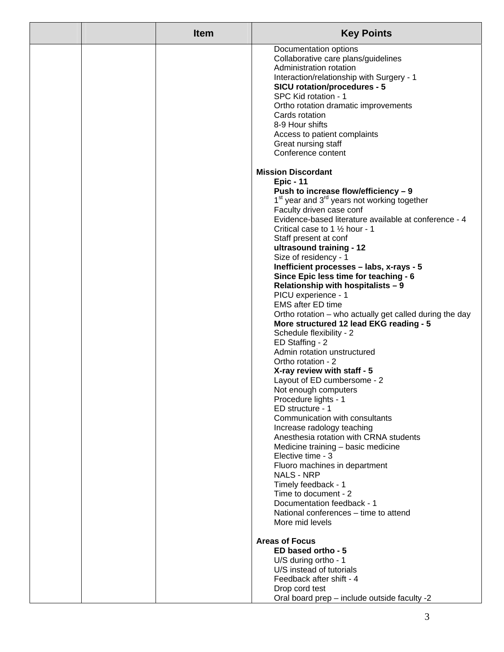|  | <b>Item</b> | <b>Key Points</b>                                                                               |
|--|-------------|-------------------------------------------------------------------------------------------------|
|  |             | Documentation options                                                                           |
|  |             | Collaborative care plans/guidelines<br>Administration rotation                                  |
|  |             | Interaction/relationship with Surgery - 1                                                       |
|  |             | <b>SICU rotation/procedures - 5</b>                                                             |
|  |             | SPC Kid rotation - 1                                                                            |
|  |             | Ortho rotation dramatic improvements                                                            |
|  |             | Cards rotation                                                                                  |
|  |             | 8-9 Hour shifts<br>Access to patient complaints                                                 |
|  |             | Great nursing staff                                                                             |
|  |             | Conference content                                                                              |
|  |             | <b>Mission Discordant</b>                                                                       |
|  |             | <b>Epic - 11</b>                                                                                |
|  |             | Push to increase flow/efficiency - 9                                                            |
|  |             | 1 <sup>st</sup> year and 3 <sup>rd</sup> years not working together<br>Faculty driven case conf |
|  |             | Evidence-based literature available at conference - 4                                           |
|  |             | Critical case to 1 1/2 hour - 1                                                                 |
|  |             | Staff present at conf                                                                           |
|  |             | ultrasound training - 12                                                                        |
|  |             | Size of residency - 1                                                                           |
|  |             | Inefficient processes - labs, x-rays - 5<br>Since Epic less time for teaching - 6               |
|  |             | Relationship with hospitalists - 9                                                              |
|  |             | PICU experience - 1                                                                             |
|  |             | <b>EMS after ED time</b>                                                                        |
|  |             | Ortho rotation – who actually get called during the day                                         |
|  |             | More structured 12 lead EKG reading - 5<br>Schedule flexibility - 2                             |
|  |             | ED Staffing - 2                                                                                 |
|  |             | Admin rotation unstructured                                                                     |
|  |             | Ortho rotation - 2                                                                              |
|  |             | X-ray review with staff - 5                                                                     |
|  |             | Layout of ED cumbersome - 2                                                                     |
|  |             | Not enough computers<br>Procedure lights - 1                                                    |
|  |             | ED structure - 1                                                                                |
|  |             | Communication with consultants                                                                  |
|  |             | Increase radology teaching                                                                      |
|  |             | Anesthesia rotation with CRNA students                                                          |
|  |             | Medicine training - basic medicine<br>Elective time - 3                                         |
|  |             | Fluoro machines in department                                                                   |
|  |             | <b>NALS - NRP</b>                                                                               |
|  |             | Timely feedback - 1                                                                             |
|  |             | Time to document - 2<br>Documentation feedback - 1                                              |
|  |             | National conferences – time to attend                                                           |
|  |             | More mid levels                                                                                 |
|  |             | <b>Areas of Focus</b>                                                                           |
|  |             | ED based ortho - 5                                                                              |
|  |             | U/S during ortho - 1                                                                            |
|  |             | U/S instead of tutorials<br>Feedback after shift - 4                                            |
|  |             | Drop cord test                                                                                  |
|  |             | Oral board prep - include outside faculty -2                                                    |